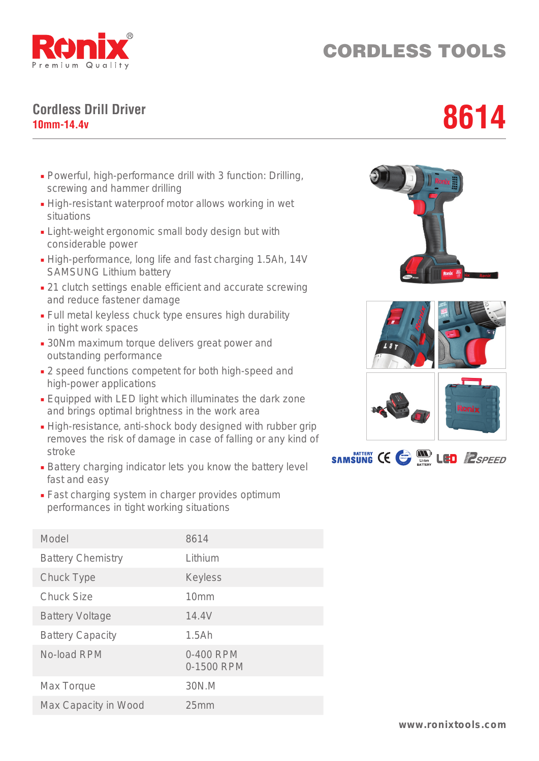

## CORDLESS TOOLS

## **Cordless Drill Driver** Cordless Drill Driver<br>10mm-14.4v<br>**10mm-14.4v**

- Powerful, high-performance drill with 3 function: Drilling, screwing and hammer drilling
- High-resistant waterproof motor allows working in wet situations
- Light-weight ergonomic small body design but with considerable power
- High-performance, long life and fast charging 1.5Ah, 14V SAMSUNG Lithium battery
- 21 clutch settings enable efficient and accurate screwing and reduce fastener damage
- Full metal keyless chuck type ensures high durability in tight work spaces
- 30Nm maximum torque delivers great power and outstanding performance
- 2 speed functions competent for both high-speed and high-power applications
- Equipped with LED light which illuminates the dark zone and brings optimal brightness in the work area
- High-resistance, anti-shock body designed with rubber grip removes the risk of damage in case of falling or any kind of stroke
- Battery charging indicator lets you know the battery level fast and easy
- Fast charging system in charger provides optimum performances in tight working situations





| Model                    | 8614                    |
|--------------------------|-------------------------|
| <b>Battery Chemistry</b> | Lithium                 |
| Chuck Type               | <b>Keyless</b>          |
| <b>Chuck Size</b>        | 10 <sub>mm</sub>        |
| <b>Battery Voltage</b>   | 14.4V                   |
| <b>Battery Capacity</b>  | 1.5Ah                   |
| No-load RPM              | 0-400 RPM<br>0-1500 RPM |
| Max Torque               | 30N.M                   |
| Max Capacity in Wood     | 25mm                    |
|                          |                         |